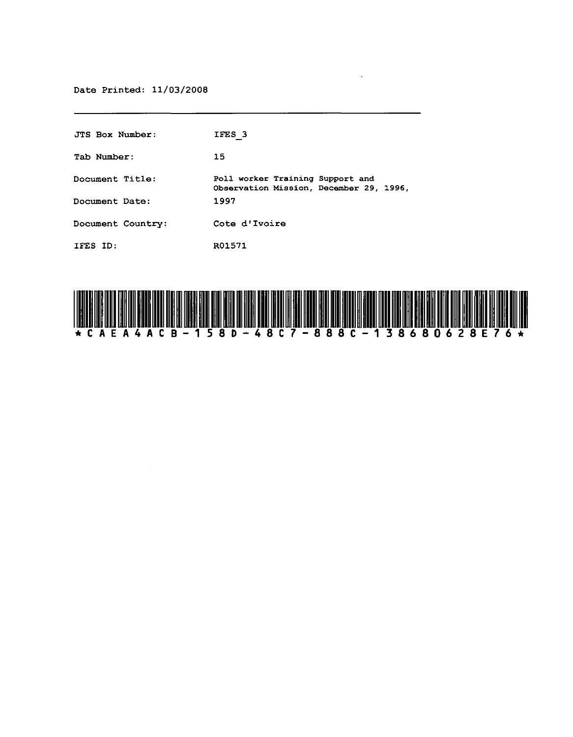Date Printed: 11/03/2008

 $\sim 40^{\circ}$ 

| JTS Box Number:   | IFES 3                                                                      |
|-------------------|-----------------------------------------------------------------------------|
| Tab Number:       | 15                                                                          |
| Document Title:   | Poll worker Training Support and<br>Observation Mission, December 29, 1996, |
| Document Date:    | 1997                                                                        |
| Document Country: | Cote d'Ivoire                                                               |
| IFES ID:          | R01571                                                                      |



 $\sim 40\,$  km s  $^{-1}$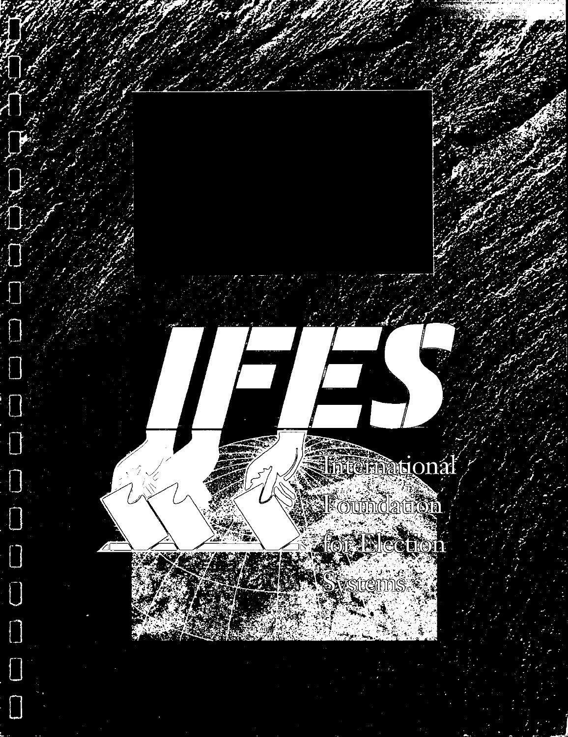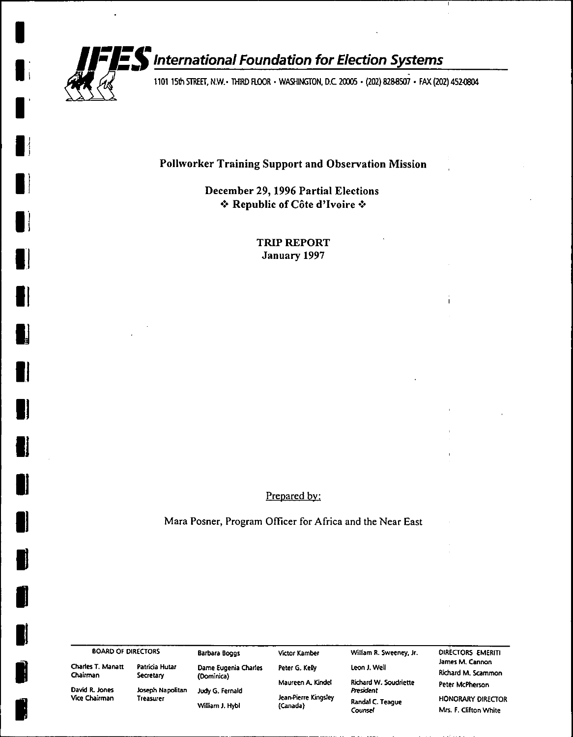

#### Pollworker Training Support and Observation Mission

December 29, 1996 Partial Elections \* Republic of Côte d'Ivoire \*

> TRIP REPORT January 1997

> > Prepared by:

Mara Posner, Program Officer for Africa and the Near East

Charles T. Manatt Patricia Hutar Dame Eugenia Charles Peter G. Kelly Leon J. Well<br>Chairman Secretary (Dominica)

I

I'

 $\left| \cdot \right|$ 

**III** 

**II** 

**III** 

IJ

**II** 

**II** 

IJ

IJ

II

II

I

II

I

I

(Dominica) David R. Jones Joseph Napolitan Judy G. Fernald<br>
Vice Chairman Treasurer President Research Jean-Pierre Kingsley

BOARD OF DIRECTORS Barbara Boggs Victor Kamber William R. Sweeney, Jr.

Maureen A. Kindel Richard W. Soudriette

VICe Chairman Treasurer Jean-Pierre Kingsley Randal C. Teague WiUiam J. Hybl (Canada) Coonsei

DIRECTORS EMERITI James M. Cannon Richard M. Scammon Peter McPherson

 $\overline{1}$ 

HONORARY DIRECTOR Mrs. F. difton White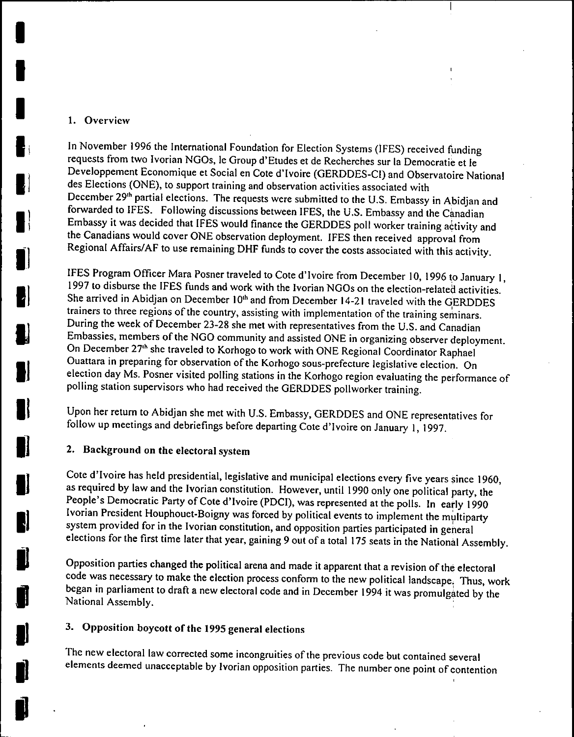#### 1. Overview

I

I

I

**II** 

**11** 

**II** 

**II** 

**U** 

**IJ** 

**II** 

**11** 

IJ

**II** 

II

 $\blacksquare$ 

IJ

II

**y** 

In November 1996 the International Foundation for Election Systems (lFES) received funding requests from two Ivorian NGOs, Ie Group d'Etudes et de Recherches sur la Democratie et Ie Developpement Economique et Social en Cote d'ivoire (GERDDES-CI) and Observatoire National des Elections (ONE), to support training and observation activities associated with December 29<sup>th</sup> partial elections. The requests were submitted to the U.S. Embassy in Abidjan and forwarded to IFES. Following discussions between IFES, the U.S. Embassy and the Canadian Embassy it was decided that IFES would finance the GERDDES poll worker training activity and the Canadians would cover ONE observation deployment. IFES then received approval from Regional Affairs/AF to use remaining DHF funds to cover the costs associated with this activity.

IFES Program Officer Mara Posner traveled to Cote d'ivoire from December 10, 1996 to January I, 1997 to disburse the IFES funds and work with the Ivorian NGOs on the election-related activities.<br>She arrived in Abidjan on December 10<sup>th</sup> and from December 14-21 traveled with the GERDDES trainers to three regions of the country, assisting with implementation of the training seminars. During the week of December 23-28 she met with representatives from the U.S. and Canadian Embassies, members of the NGO community and assisted ONE in organizing observer deployment. On December 27<sup>th</sup> she traveled to Korhogo to work with ONE Regional Coordinator Raphael Ouattara in preparing for observation of the Korhogo sous-prefecture legislative election. On election day Ms. Posner visited polling stations in the Korhogo region evaluating the performance of polling station supervisors who had received the GERDDES pollworker training.

Upon her return to Abidjan she met with U.S. Embassy, GERDDES and ONE representatives for follow up meetings and debriefings before departing Cote d'ivoire on January I, 1997.

#### 2. Background on the electoral system

Cote d'ivoire has held presidential, legislative and municipal elections every five years since 1960, as required by law and the Ivorian constitution. However, until 1990 only one political party, the People's Democratic Party of Cote d'ivoire (PDCI), was represented at the polls. In early 1990 Ivorian President Houphouet-Boigny was forced by political events to implement the multiparty system provided for in the Ivorian constitution, and opposition parties participated in general elections for the first time later that year, gaining 9 out of a total 175 seats in the National Assembly.

Opposition parties changed the political arena and made it apparent that a revision of the electoral code was necessary to make the election process conform to the new political landscape. Thus, work began in parliament to draft a new electoral code and in December 1994 it was promulgated by the National Assembly. .

#### 3. Opposition boycott of the 1995 general elections

The new electoral law corrected some incongruities of the previous code but contained several elements deemed unacceptable by Ivorian opposition parties. The number one point of contention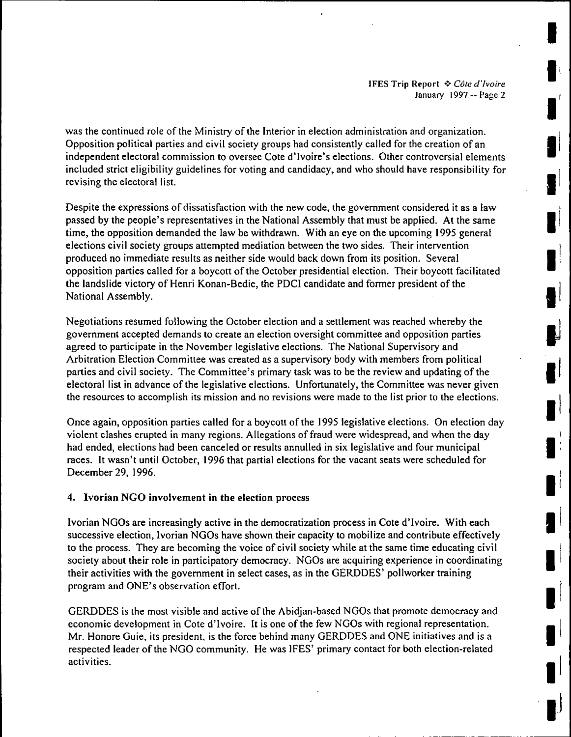IFES Trip Report .:. *Cote d'/voire*  January 1997 -- Page 2 I

**Ii** 

**II** 

**II** 

**II** 

**Ii** 

 $\blacksquare^!$ 

**II** 

tJ

**II** 

**II** 

I~

**Ii** 

 $\blacksquare$ 

**I!** 

 $\blacksquare$ 

 $\blacksquare^\|$ 

 $\blacksquare$ 

**IJ** 

was the continued role of the Ministry of the Interior in election administration and organization, Opposition political parties and civil society groups had consistently called for the creation of an independent electoral commission to oversee Cote d'lvoire's elections, Other controversial elements included strict eligibility guidelines for voting and candidacy, and who should have responsibility for revising the electoral list.

Despite the expressions of dissatisfaction with the new code, the government considered it as a law passed by the people's representatives in the National Assembly that must be applied. At the same time, the opposition demanded the law be withdrawn. With an eye on the upcoming 1995 general elections civil society groups attempted mediation between the two sides. Their intervention produced no immediate results as neither side would back down from its position. Several opposition parties called for a boycott of the October presidential election. Their boycott facilitated the landslide victory of Henri Konan-Bedie, the PDCI candidate and former president of the National Assembly.

Negotiations resumed following the October election and a settlement was reached whereby the government accepted demands to create an election oversight committee and opposition parties agreed to participate in the November legislative elections. The National Supervisory and Arbitration Election Committee was created as a supervisory body with members from political parties and civil society. The Committee's primary task was to be the review and updating of the electoral list in advance of the legislative elections. Unfortunately, the Committee was never given the resources to accomplish its mission and no revisions were made to the list prior to the elections.

Once again, opposition parties called for a boycott of the 1995 legislative elections. On election day violent clashes erupted in many regions. Allegations of fraud were widespread, and when the day had ended, elections had been canceled or results annulled in six legislative and four municipal races. It wasn't until October, 1996 that partial elections for the vacant seats were scheduled for December 29, 1996.

#### 4. Ivorian NGO involvement **in** the election process

Ivorian NGOs are increasingly active in the democratization process in Cote d'ivoire. With each successive election, Ivorian NGOs have shown their capacity to mobilize and contribute effectively to the process. They are becoming the voice of civil society while at the same time educating civil society about their role in participatory democracy. NGOs are acquiring experience in coordinating their activities with the government in select cases, as in the GERDDES' pollworker training program and ONE's observation effort.

GERDDES is the most visible and active of the Abidjan-based NGOs that promote democracy and economic development in Cote d'ivoire. It is one of the few NGOs with regional representation. Mr. Honore Guie, its president, is the force behind many GERDDES and ONE initiatives and is a respected leader of the NGO community. He was IFES' primary contact for both election-related activities.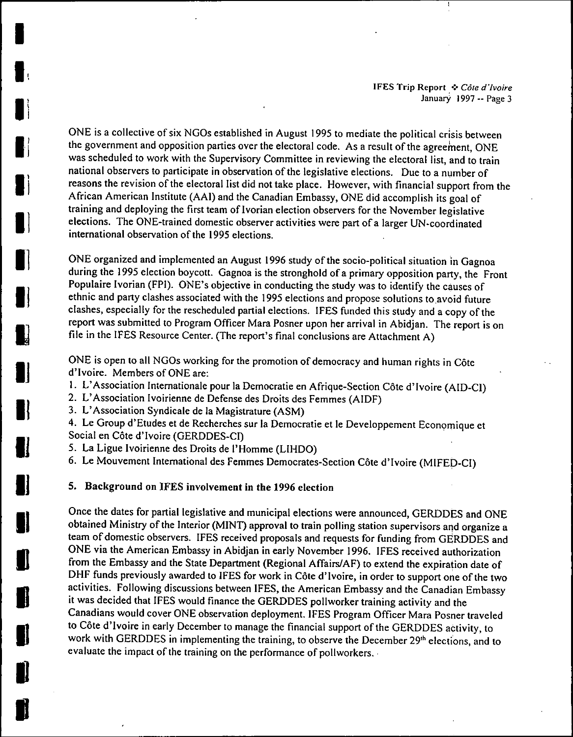IFES Trip Report .:. *Cote d'ivoire*  January 1997 -- Page 3

ONE is a collective of six NGOs established in August 1995 to mediate the political crisis between the government and opposition parties over the electoral code. As a result of the agreement, ONE was scheduled to work with the Supervisory Committee in reviewing the electoral list, and to train national observers to participate in observation of the legislative elections, Due to a number of reasons the revision of the electoral list did not take place, However, with financial support from the African American Institute (AAI) and the Canadian Embassy, ONE did accomplish its goal of training and deploying the first team of Ivorian election observers for the November legislative elections, The ONE-trained domestic observer activities were part of a larger UN-coordinated international observation of the 1995 elections,

ONE organized and implemented an August 1996 study of the socio-political situation in Gagnoa during the 1995 election boycott. Gagnoa is the stronghold of a primary opposition party, the Front Populaire Ivorian (FPI), ONE's objective in conducting the study was to identify the causes of ethnic and party clashes associated with the 1995 elections and propose solutions to avoid future clashes, especially for the rescheduled partial elections. IFES funded this study and a copy of the report was submitted to Program Officer Mara Posner upon her arrival in Abidjan. The report is on file in the IFES Resource Center. (The report's final conclusions are Attachment A)

ONE is open to all NGOs working for the promotion of democracy and human rights in Côte d'ivoire. Members of ONE are:

- I. L'Association Internationale pour la Democratie en Afrique-Section Cote d'ivoire (AID-CI)
- 2. L' Association Ivoirienne de Defense des Droits des Femmes (AIDF)
- 3. L'Association Syndicale de la Magistrature (ASM)

I

Ii

**I** 

**II** 

 $\blacksquare$ 

**11** 

**II** 

**II** 

**IJ** 

**II** 

**IJ** 

**IJ** 

**II** 

II

I

 $\blacksquare$ 

 $\mathbf{u}$ 

I

4. Le Group d'Etudes et de Recherches sur la Democratie et le Developpement Economique et Social en Côte d'Ivoire (GERDDES-CI)

- 5. La Ligue Ivoirienne des Droits de I'Homme (LIHDO)
- 6. Le Mouvement International des Femmes Democrates-Section Cote d'Ivoire (MIFED-CI)
- S. Background on IFES involvement in the 1996 election

Once the dates for partial legislative and municipal elections were announced, GERDDES and ONE obtained Ministry of the Interior (MINT) approval to train polling station supervisors and organize a team of domestic observers. IFES received proposals and requests for funding from GERDDES and ONE via the American Embassy in Abidjan in early November 1996. IFES received authorization from the Embassy and the State Department (Regional Affairs/AF) to extend the expiration date of DHF funds previously awarded to IFES for work in Côte d'Ivoire, in order to support one of the two activities. Following discussions between IFES, the American Embassy and the Canadian Embassy it was decided that IFES would finance the GERDDES pollworker training activity and the Canadians would cover ONE observation deployment. IFES Program Officer Mara Posner traveled to Côte d'Ivoire in early December to manage the financial support of the GERDDES activity, to work with GERDDES in implementing the training, to observe the December 29<sup>th</sup> elections, and to evaluate the impact of the training on the performance of pollworkers.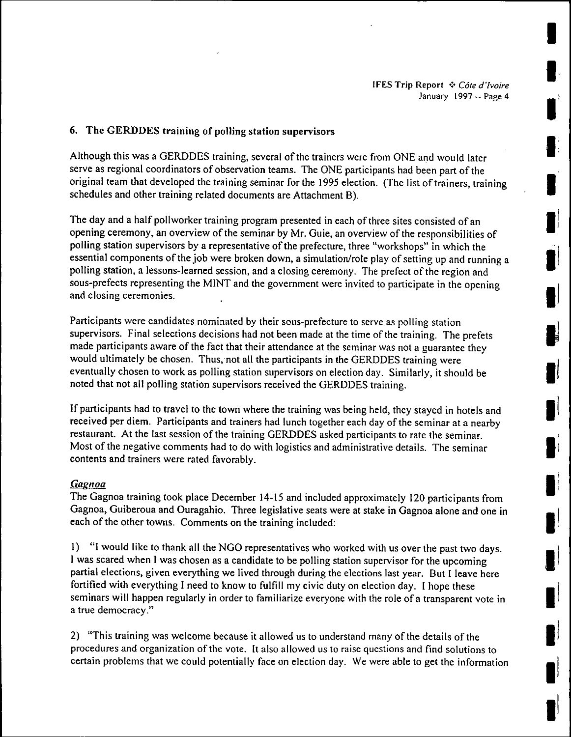IFES Trip Report *❖ Côte d'Ivoire* January 1997 -- Page 4 I

I

I

**Ii** 

**II** 

**II** 

**i** 

**II** 

**II** 

**I:** 

**Ii** 

 $\blacksquare$ 

**II** 

**II** 

**II** 

**II** 

**II** 

#### 6, The GERDDES training of polling station supervisors

Although this was a GERDDES training, several of the trainers were from ONE and would later serve as regional coordinators of observation teams, The ONE participants had been part of the original team that developed the training seminar for the 1995 election. (The list of trainers, training schedules and other training related documents are Attachment B).

The day and a half pollworker training program presented in each of three sites consisted of an opening ceremony, an overview of the seminar by Mr. Guie, an overview of the responsibilities of polling station supervisors by a representative of the prefecture, three "workshops" in which the essential components of the job were broken down, a simulation/role play of setting up and running a polling station, a lessons-learned session, and a closing ceremony. The prefect of the region and sous-prefects representing the MINT and the government were invited to participate in the opening and closing ceremonies.

Participants were candidates nominated by their sous-prefecture to serve as polling station supervisors. Final selections decisions had not been made at the time of the training. The prefets made participants aware of the fact that their attendance at the seminar was not a guarantee they would ultimately be chosen. Thus, not all the participants in the GERDDES training were eventually chosen to work as polling station supervisors on election day. Similarly, it should be noted that not all polling station supervisors received the GERDDES training.

If participants had to travel to the town where the training was being held, they stayed in hotels and received per diem. Participants and trainers had lunch together each day of the seminar at a nearby restaurant. At the last session of the training GERDDES asked participants to rate the seminar. Most of the negative comments had to do with logistics and administrative details. The seminar contents and trainers were rated favorably.

#### *Gagnoa*

The Gagnoa training took place December 14-15 and included approximately 120 participants from Gagnoa, Guiberoua and Ouragahio. Three legislative seats were at stake in Gagnoa alone and one in each of the other towns. Comments on the training included:

1) "I would like to thank all the NGO representatives who worked with us over the past two days. I was scared when I was chosen as a candidate to be polling station supervisor for the upcoming partial elections, given everything we lived through during the elections last year. But I leave here fortified with everything I need to know to fulfill my civic duty on election day. 1 hope these seminars will happen regularly in order to familiarize everyone with the role of a transparent vote in a true democracy."

2) "This training was welcome because it allowed us to understand many of the details of the procedures and organization of the vote. It also allowed us to raise questions and find solutions to certain problems that we could potentially face on election day. We were able to get the information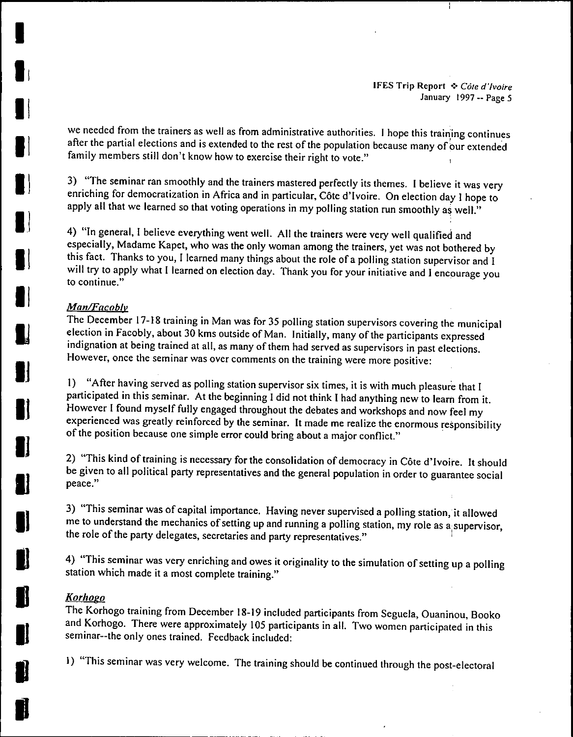IFES Trip Report .;. *Cote d'/voire*  January 1997 -- Page 5

we needed from the trainers as well as from administrative authorities. I hope this training continues after the partial elections and is extended to the rest of the population because many of our extended family members still don't know how to exercise their right to vote."

3) "The seminar ran smoothly and the trainers mastered perfectly its themes. I believe it was very enriching for democratization in Africa and in particular, Côte d'Ivoire. On election day I hope to apply all that we learned so that voting operations in my polling station run smoothly as well."

4) "In general, I believe everything went well. All the trainers were very well qualified and especially, Madame Kapet, who was the only woman among the trainers, yet was not bothered by this fact. Thanks to you, I learned many things about the role of a polling station supervisor and I will try to apply what I learned on election day. Thank you for your initiative and I encourage you **to continue."** 

#### *ManlFacoblv*

I

**II** 

**II** 

**II** 

**II** 

**II** 

**ij** 

**IJ** 

**11** 

**11** 

II

**II** 

**uli** 

 $\blacksquare$ 

 $\blacksquare$ 

 $\mathbf{u}$ 

I

The December 17-18 training in Man was for 35 polling station supervisors covering the municipal election in Facobly, about 30 kms outside of Man. Initially, many of the participants expressed indignation at being trained at all, as many of them had served as supervisors in past elections. However, once the seminar was over comments on the training were more positive:

I) "After having served as polling station supervisor six times, it is with much pleasure that I participated in this seminar. At the beginning I did not think I had anything new to learn from it. However I found myself fully engaged throughout the debates and workshops and now feel my experienced was greatly reinforced by the seminar. It made me realize the enormous responsibility of the position because one simple error could bring about a major conflict."

2) "This kind of training is necessary for the consolidation of democracy in Côte d'Ivoire. It should be given to all political party representatives and the general population in order to guarantee social **peace."** 

3) 'This seminar was of capital importance. Having never supervised a polling station, it allowed me to understand the mechanics of setting up and running a polling station, my role as a;supervisor, the role of the party delegates, secretaries and party representatives."

4) "This seminar was very enriching and owes it originality to the simulation of setting up a polling station which made it a most complete training."

#### *Korhogo*

The Korhogo training from December 18-19 included participants from Seguela, Ouaninou, Booko and Korhogo. There were approximately 105 participants in all. Two women participated in this seminar--the only ones trained. Feedback included:

I) "This seminar was very welcome. The training should be continued through the post-electoral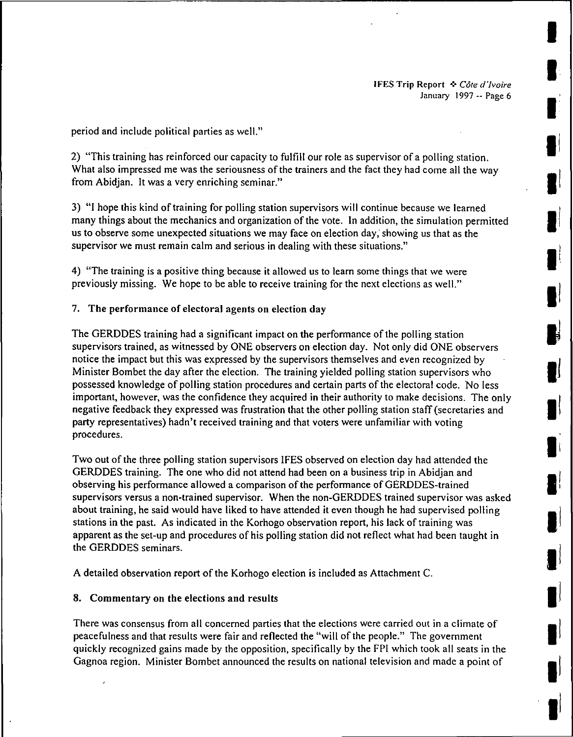IFES Trip Report *❖ Côte d'Ivoire* January 1997 -- Page 6

I

I

I

**II** 

**II** 

**II** 

 $\blacksquare$ 

**II** 

**i** 

 $\mathbf{I}$ 

**II** 

**II** 

**II** 

 $\blacksquare$ 

**II** 

**I]** 

**II** 

 $\mathbf{I}$ 

**II** 

period and include political parties as well."

2) "This training has reinforced our capacity to fulfill our role as supervisor of a polling station. What also impressed me was the seriousness of the trainers and the fact they had come all the way from Abidjan. It was a very enriching seminar."

3) "I hope this kind of training for polling station supervisors will continue because we learned many things about the mechanics and organization of the vote. In addition, the simulation permitted us to observe some unexpected situations we may face on election day; showing us that as the supervisor we must remain calm and serious in dealing with these situations."

4) "The training is a positive thing because it allowed us to learn some things that we were previously missing. We hope to be able to receive training for the next elections as well."

#### 7. The performance of electoral agents on election day

The GERDDES training had a significant impact on the performance of the polling station supervisors trained, as witnessed by ONE observers on election day. Not only did ONE observers notice the impact but this was expressed by the supervisors themselves and even recognized by Minister Bombet the day after the election. The training yielded polling station supervisors who possessed knowledge of polling station procedures and certain parts of the electoral code. No less important, however, was the confidence they acquired in their authority to make decisions. The only negative feedback they expressed was frustration that the other polling station staff (secretaries and party representatives) hadn't received training and that voters were unfamiliar with voting procedures.

Two out of the three polling station supervisors IFES observed on election day had attended the GERDDES training. The one who did not attend had been on a business trip in Abidjan and observing his performance allowed a comparison of the performance ofGERDDES-trained supervisors versus a non-trained supervisor. When the non-GERDDES trained supervisor was asked about training, he said would have liked to have attended it even though he had supervised polling stations in the past. As indicated in the Korhogo observation report, his lack of training was apparent as the set-up and procedures of his polling station did not reflect what had been taught in the GERDDES seminars.

A detailed observation report of the Korhogo election is included as Attachment C.

#### 8. Commentary on the elections and results

There was consensus from all concerned parties that the elections were carried out in a climate of peacefulness and that results were fair and reflected the "will of the people." The government quickly recognized gains made by the opposition, specifically by the FPI which took all seats in the Gagnoa region. Minister Bombet announced the results on national television and made a point of

------------- ----- -----------------------------'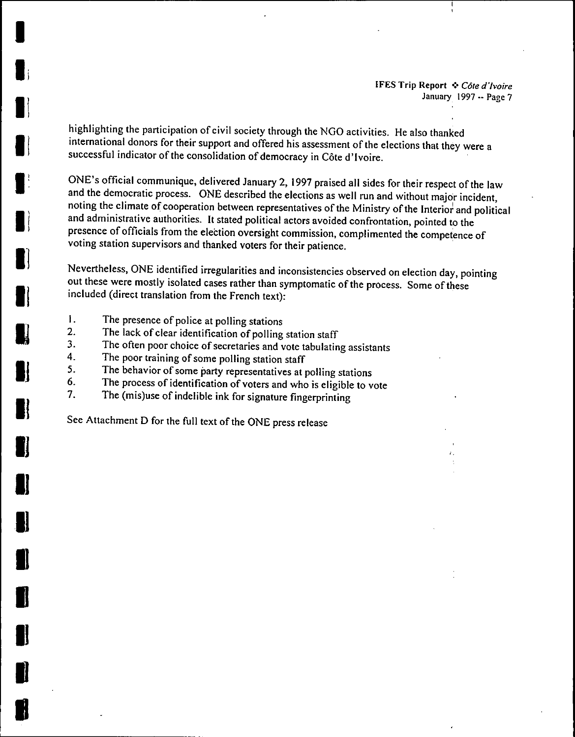#### IFES Trip Report .;. *Cote d'/voire*  January 1997 -- Page 7

Ê.

highlighting the participation of civil society through the NGO activities. He also thanked international donors for their support and offered his assessment of the elections that they were a successful indicator of the consolidation of democracy in Côte d'Ivoire.

ONE's official communique, delivered January 2, 1997 praised all sides for their respect of the law and the democratic process. ONE described the elections as well run and without major incident, noting the climate of cooperation between representatives of the Ministry of the Interiof and political and administrative authorities. It stated political actors avoided confrontation, pointed to the presence of officials from the election oversight commission, complimented the competence of voting station supervisors and thanked voters for their patience.

Nevertheless, ONE identified irregularities and inconsistencies observed on election day, pointing out these were mostly isolated cases rather than symptomatic of the process. Some of these included (direct translation from the French text):

I. The presence of police at polling stations<br>2. The lack of clear identification of polling

I

**I!** 

**II** 

I~

**Il** 

**11** 

**II** 

**IJ** 

**IJ** 

**II** 

**I)** 

**II** 

**I)** 

II

 $\blacksquare$ 

II

I

I

- 2. The lack of clear identification of polling station staff<br>3. The often poor choice of secretaries and vote tabulation
- 3. The often poor choice of secretaries and vote tabulating assistants<br>4. The poor training of some polling station staff
- 4. The poor training of some polling station staff<br>5. The behavior of some party representatives at a
- 5. The behavior of some party representatives at polling stations<br>6. The process of identification of voters and who is eligible to y
- 6. The process of identification of voters and who is eligible to vote  $\overline{a}$ . The (mis)use of indefible ink for signature fingermining
- The (mis)use of indelible ink for signature fingerprinting

See Attachment D for the full text of the ONE press release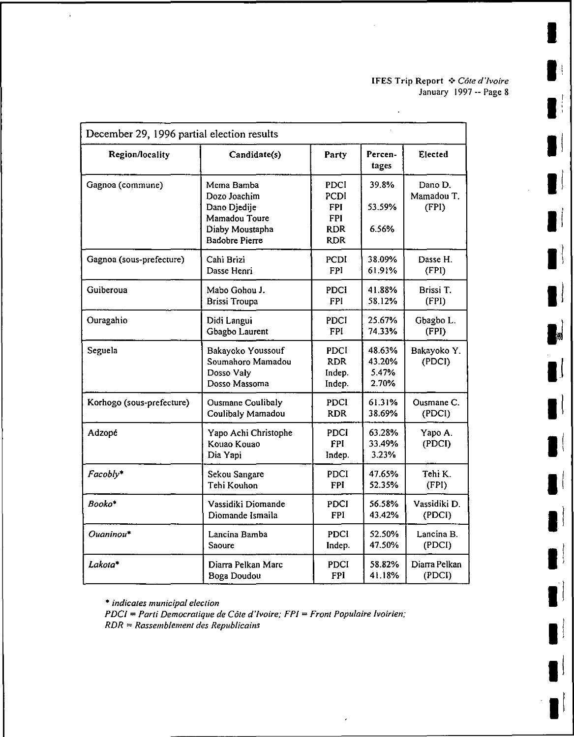#### IFES Trip Report .;. *Cote d'/voire*  January 1997 -- Page 8

 $\ddot{\phantom{a}}$ 

I

 $\mathbb{R}^2$ 

 $\begin{array}{c} \frac{1}{2} \\ \frac{1}{2} \end{array}$ 

 $\mathsf{H}% _{0}\left( \mathcal{N}_{0}\right) =\mathsf{H}_{0}\left( \mathcal{N}_{0}\right)$ 

**I!** 

**II** 

**II** 

**II** 

**II** 

**I!** 

**II** 

**II** 

**II** 

 $\blacksquare^\dagger$ 

| December 29, 1996 partial election results |                                                                                                         |                                                                             |                                    |                                |  |
|--------------------------------------------|---------------------------------------------------------------------------------------------------------|-----------------------------------------------------------------------------|------------------------------------|--------------------------------|--|
| Region/locality                            | Candidate(s)                                                                                            | Party                                                                       | Percen-<br>tages                   | Elected                        |  |
| Gagnoa (commune)                           | Mema Bamba<br>Dozo Joachim<br>Dano Djedije<br>Mamadou Toure<br>Diaby Moustapha<br><b>Badobre Pierre</b> | <b>PDCI</b><br>PCDI<br><b>FPI</b><br><b>FPI</b><br><b>RDR</b><br><b>RDR</b> | 39.8%<br>53.59%<br>6.56%           | Dano D.<br>Mamadou T.<br>(FPI) |  |
| Gagnoa (sous-prefecture)                   | Cahi Brizi                                                                                              | PCDI                                                                        | 38.09%                             | Dasse H.                       |  |
|                                            | Dasse Henri                                                                                             | FPI                                                                         | 61.91%                             | (FPI)                          |  |
| Guiberoua                                  | Mabo Gohou J.                                                                                           | <b>PDCI</b>                                                                 | 41.88%                             | Brissi T.                      |  |
|                                            | <b>Brissi Troupa</b>                                                                                    | <b>FPI</b>                                                                  | 58.12%                             | (FPI)                          |  |
| Ouragahio                                  | Didi Langui                                                                                             | <b>PDCI</b>                                                                 | 25.67%                             | Gbagbo L.                      |  |
|                                            | Gbagbo Laurent                                                                                          | <b>FPI</b>                                                                  | 74.33%                             | (FPI)                          |  |
| Seguela                                    | Bakayoko Youssouf<br>Soumahoro Mamadou<br>Dosso Valy<br>Dosso Massoma                                   | <b>PDCI</b><br><b>RDR</b><br>Indep.<br>Indep.                               | 48.63%<br>43.20%<br>5.47%<br>2.70% | Bakayoko Y.<br>(PDCI)          |  |
| Korhogo (sous-prefecture)                  | <b>Ousmane Coulibaly</b>                                                                                | PDCI                                                                        | 61.31%                             | Ousmane C.                     |  |
|                                            | Coulibaly Mamadou                                                                                       | <b>RDR</b>                                                                  | 38.69%                             | (PDCI)                         |  |
| Adzopé                                     | Yapo Achi Christophe<br>Kouao Kouao<br>Dia Yapi                                                         | PDCI<br><b>FPI</b><br>Indep.                                                | 63.28%<br>33.49%<br>3.23%          | Yapo A.<br>(PDCI)              |  |
| Facobly*                                   | Sekou Sangare                                                                                           | <b>PDCI</b>                                                                 | 47.65%                             | Tehi K.                        |  |
|                                            | Tehi Kouhon                                                                                             | <b>FPI</b>                                                                  | 52.35%                             | (FPI)                          |  |
| Booko*                                     | Vassidiki Diomande                                                                                      | <b>PDCI</b>                                                                 | 56.58%                             | Vassidiki D.                   |  |
|                                            | Diomande Ismaila                                                                                        | <b>FPI</b>                                                                  | 43.42%                             | (PDCI)                         |  |
| Ouaninou*                                  | Lancina Bamba                                                                                           | <b>PDCI</b>                                                                 | 52.50%                             | Lancina B.                     |  |
|                                            | Saoure                                                                                                  | Indep.                                                                      | 47.50%                             | (PDCI)                         |  |
| Lakoia*                                    | Diarra Pelkan Marc                                                                                      | PDCI                                                                        | 58.82%                             | Diarra Pelkan                  |  |
|                                            | Boga Doudou                                                                                             | <b>FPI</b>                                                                  | 41.18%                             | (PDCI)                         |  |

*• indicates municipal election* 

 $\ddot{\phantom{0}}$ 

*PDCI* = *Parti Democratiqlle de Cote d'ivoire; FPI* = *Front Poplilaire Ivoirien; RDR* = *Rassemblement des Repllblicains*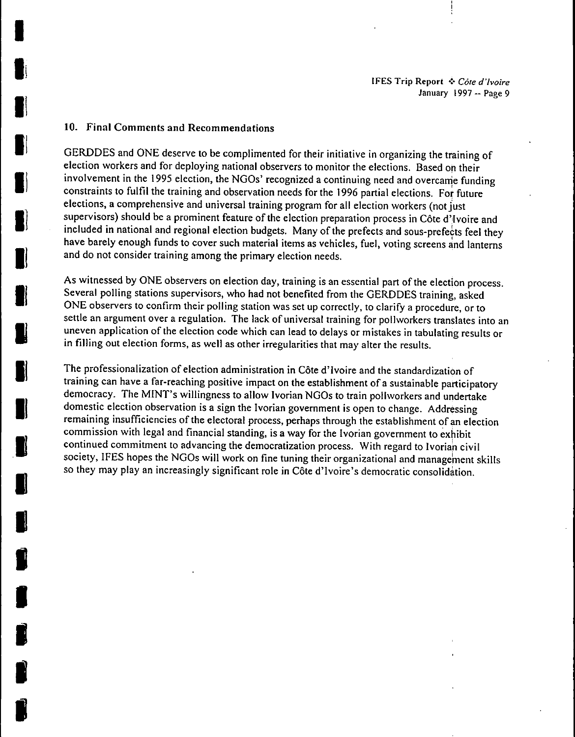IFES Trip Report .:. *Cote d'/voire*  January 1997 -- Page 9

#### 10. Final Comments and Recommendations

I

**II** 

**II** 

**II** 

**11** 

**II** 

**II** 

**u** 

**II** 

**II** 

II

II

I

I

I

I

I

I

GERDDES and ONE deserve to be complimented for their initiative in organizing the training of election workers and for deploying national observers to monitor the elections. Based on their involvement in the 1995 election, the NGOs' recognized a continuing need and overcame funding constraints to fulfil the training and observation needs for the 1996 partial elections. For future elections, a comprehensive and universal training program for all election workers (not just supervisors) should be a prominent feature of the election preparation process in Côte d'Ivoire and included in national and regional election budgets. Many of the prefects and sous-prefects feel they have barely enough funds to cover such material items as vehicles, fuel, voting screens and lanterns and do not consider training among the primary election needs.

As witnessed by ONE observers on election day, training is an essential part of the election process. Several polling stations supervisors, who had not benefited from the GERDDES training, asked ONE observers to confirm their polling station was set up correctly, to clarify a procedure, or to settle an argument over a regulation. The lack of universal training for pollworkers translates into an uneven application of the election code which can lead to delays or mistakes in tabulating results or in filling out election forms, as well as other irregularities that may alter the results.

The professionalization of election administration in Côte d'Ivoire and the standardization of training can have a far-reaching positive impact on the establishment of a sustainable participatory democracy. The MINT's willingness to allow Ivorian NGOs to train pollworkers and undertake domestic election observation is a sign the Ivorian government is open to change. Addressing remaining insufficiencies of the electoral process, perhaps through the establishment of an election commission with legal and financial standing, is a way for the Ivorian government to exhibit continued commitment to advancing the democratization process. With regard to Ivorian civil society, IFES hopes the NGOs will work on fine tuning their organizational and management skills so they may play an increasingly significant role in Côte d'Ivoire's democratic consolidation.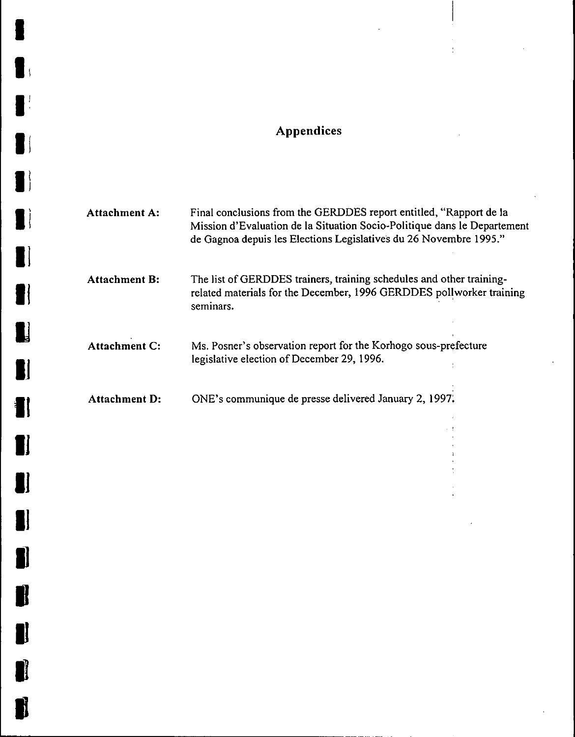# Appendices

t,

 $\frac{1}{2}$  .

 $\mathcal{L}_{\mathcal{A}}$ 

 $\boldsymbol{\beta}$  $\sim 2^{\circ}$  $\bar{a}$ 

 $\begin{array}{c} 1 \\ + \\ + \\ + \\ + \end{array}$ 

 $\bar{A}$ 

I

I'

 $\blacksquare$ 

II

II

**II** 

**II** 

**II** 

IJ

**IJ** 

**II** 

**11** 

**IJ** 

**II** 

11

I

II

**11** 

I

| <b>Attachment A:</b> | Final conclusions from the GERDDES report entitled, "Rapport de la<br>Mission d'Evaluation de la Situation Socio-Politique dans le Departement<br>de Gagnoa depuis les Elections Legislatives du 26 Novembre 1995." |
|----------------------|---------------------------------------------------------------------------------------------------------------------------------------------------------------------------------------------------------------------|
| <b>Attachment B:</b> | The list of GERDDES trainers, training schedules and other training-<br>related materials for the December, 1996 GERDDES pollworker training<br>seminars.                                                           |
| Attachment C:        | Ms. Posner's observation report for the Korhogo sous-prefecture<br>legislative election of December 29, 1996.                                                                                                       |
| <b>Attachment D:</b> | ONE's communique de presse delivered January 2, 1997.                                                                                                                                                               |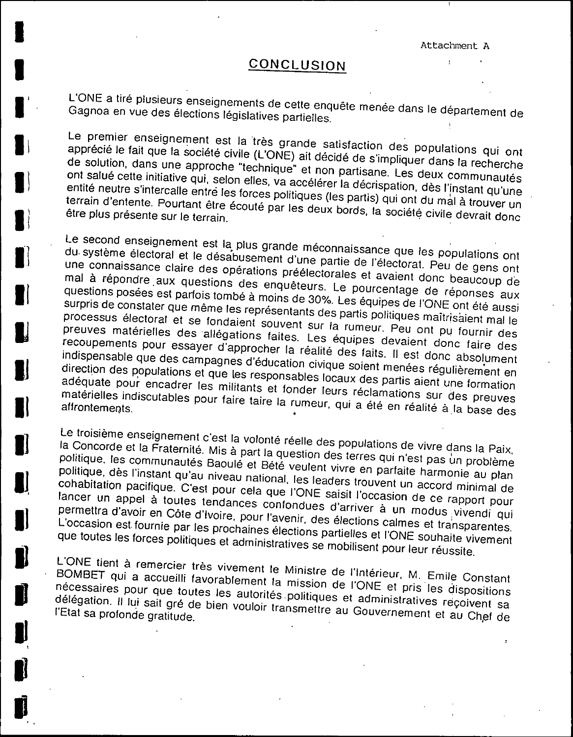# **CONCLUSION**

I

I

**I'** 

**II** 

 $\blacksquare$ 

**II** 

**11** 

**II** 

**in** 

**IJ** 

**II** 

**I]** 

IJ

**II** 

 $\blacksquare$ 

**UI** 

U<sub>.</sub>

 $\blacksquare$ 

 $\blacksquare$ 

L'ONE a tiré plusieurs enseignements de cette enquête menée dans le département de Gagnoa en vue des élections législatives partielles.

Le premier enseignement est la très grande satisfaction des populations qui ont apprécié le fait que la société civile (L'ONE) ait décidé de s'impliquer dans la recherche de solution, dans une approche "technique" et non partisane. Les deux communautes ont salue cette initiative qui, selon elles, va accelerer la decrispation, des !'instant qu'une entité neutre s'intercalle entre les forces politiques (les partis) qui ont du mal à trouver un terrain d'entente. Pourtant etre ecouté par les deux bords, la société civile devrait d'un etre plus présente sur le terrain.

Le second enseignement est la plus grande méconnaissance que les populations ont du système électoral et le désabusement d'une partie de l'électorat. Peu de gens ont une connaissance claire des opérations préélectorales et avaient donc beaucoup de mal à répondre aux questions des enquêteurs. Le pourcentage de réponses aux questions posées est parfois tombé à moins de 30%. Les équipes de l'ONE ont été aussi surpris de constater que même les représentants des partis politiques maîtrisaient mal le processus electoral et se fondaient souvent sur la rumeur. Peu ont pu fournir des preuves matérielles des allégations faites. Les équipes devaient donc faire des recoupements pour essayer d'approcher la realite des faits. II est donc absolument indispensable que des campagnes d'éducation civique soient menées régulièrement en direction des populations et que les responsables locaux des partis aient une formation adéquate pour encadrer les militants et fonder leurs réclamations sur des preuves matérielles indiscutables pour faire taire la rumeur, qui a été en réalité à la base des

Le troisième enseignement c'est la volonté réelle des populations de vivre dans la Paix, la Concorde et la Fraternité. Mis à part la question des terres qui n'est pas un problème politique, les communautés Baoulé et Bété veulent vivre en parfaite harmonie au plan politique, des I'instant qu'au niveau national, les leaders trouvent un accord minimal de cohabitation pacifique. C'est pour cela que I'ONE saisit I'occasion de ce rapport pour lancer un appel à toutes tendances confondues d'arriver à un modus vivendi qui permettra d'avoir en Côte d'Ivoire, pour l'avenir, des élections calmes et transparentes. L'occasion est fournie par les prochaines elections partielles et I'ONE souhaite vivement que toutes les forces politiques et administratives se mobilisent pour leur réussite.

L'ONE tient à remercier très vivement le Ministre de l'Intérieur, M. Emile Constant BOMBET qui a accueilli favorablement la mission de I'ONE et pris 'Ies dispositions nécessaires pour que toutes les autorités politiques et administratives reçoivent sa délégation. Il lui sait gré de bien vouloir transmettre au Gouvernement et au Chef de<br>l'Etat sa profonde gratitude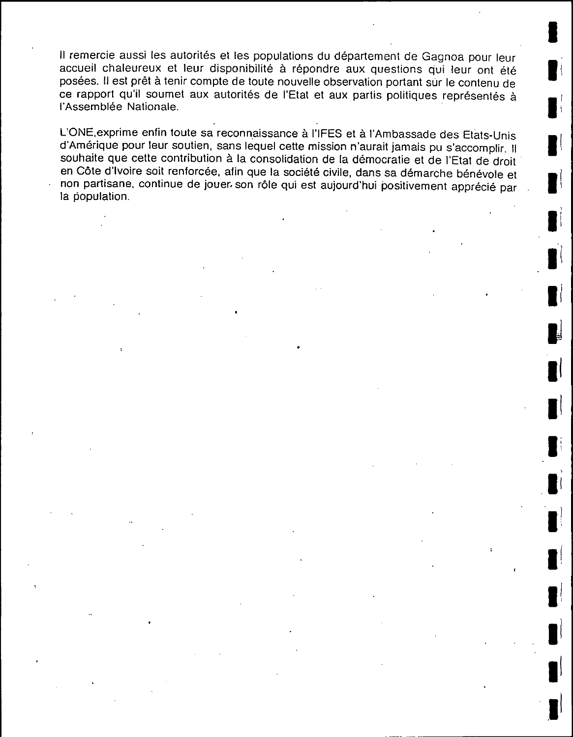Il remercie aussi les autorités et les populations du département de Gagnoa pour leur accueil chaleureux et leur disponibilité à répondre aux questions qui leur ont été posées. Il est prêt à tenir compte de toute nouvelle observation portant sur le contenu de ce rapport qu'il soumet aux autorités de l'Etat et aux partis politiques représentés à l'Assemblée Nationale.

L'ONE, exprime enfin toute sa reconnaissance à l'IFES et à l'Ambassade des Etats-Unis d'Amérique pour leur soutien, sans lequel cette mission n'aurait jamais pu s'accomplir. Il souhaite que cette contribution à la consolidation de la démocratie et de l'Etat de droit en Côte d'Ivoire soit renforcée, afin que la société civile, dans sa démarche bénévole et non partisane, continue de jouer son rôle qui est aujourd'hui positivement apprécié par la population.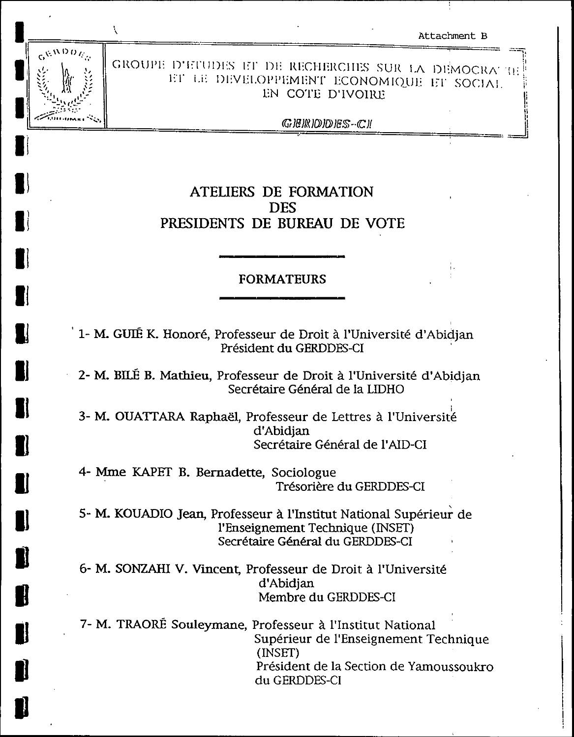

V

GROUPE D'ETUDES ET DE RECHERCHES SUR LA DEMOCRA TE ET LE DEVELOPPEMENT ECONOMIQUE ET SOCIAL EN COTE D'IVOIRE

GIBIRIOIDIES-CI

# ATELIERS DE FORMATION **DES** PRESIDENTS DE BUREAU DE VOTE

#### **FORMATEURS**

1- M. GUIÉ K. Honoré, Professeur de Droit à l'Université d'Abidjan Président du GERDDES-CI

2- M. BILÉ B. Mathieu, Professeur de Droit à l'Université d'Abidjan Secrétaire Général de la LIDHO

3- M. OUATTARA Raphaël, Professeur de Lettres à l'Université d'Abidian Secrétaire Général de l'AID-CI

4- Mme KAPET B. Bernadette, Sociologue Trésorière du GERDDES-CI

5- M. KOUADIO Jean, Professeur à l'Institut National Supérieur de l'Enseignement Technique (INSET) Secrétaire Général du GERDDES-CI

6- M. SONZAHI V. Vincent, Professeur de Droit à l'Université d'Abidjan Membre du GERDDES-CI

7- M. TRAORÉ Souleymane, Professeur à l'Institut National Supérieur de l'Enseignement Technique (INSET) Président de la Section de Yamoussoukro du GERDDES-CI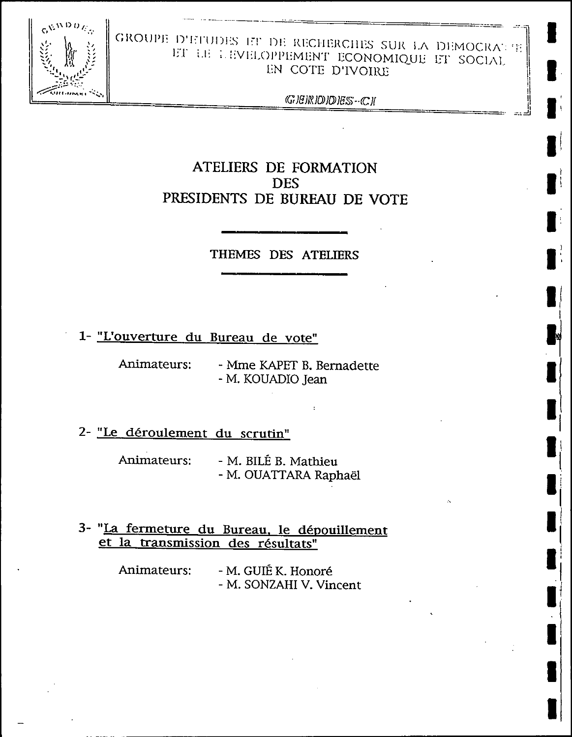

GROUPE D'ETUDES ET DE RECHERCHES SUR LA DEMOCRATE ET LE LEVELOPPEMENT ECONOMIQUE ET SOCIAL EN COTE D'IVOIRE

GIEIRIDIDIES-CI

# ATELIERS DE FORMATION **DES** PRESIDENTS DE BUREAU DE VOTE

#### THEMES DES ATELIERS

## 1- "L'ouverture du Bureau de vote"

Animateurs: - Mme KAPET B. Bernadette - M. KOUADIO Jean

## 2- "Le déroulement du scrutin"

- M. BILÉ B. Mathieu Animateurs: - M. OUATTARA Raphaël

## 3- "La fermeture du Bureau, le dépouillement et la transmission des résultats"

| Animateurs: | - M. GUIÉ K. Honoré     |  |
|-------------|-------------------------|--|
|             | - M. SONZAHI V. Vincent |  |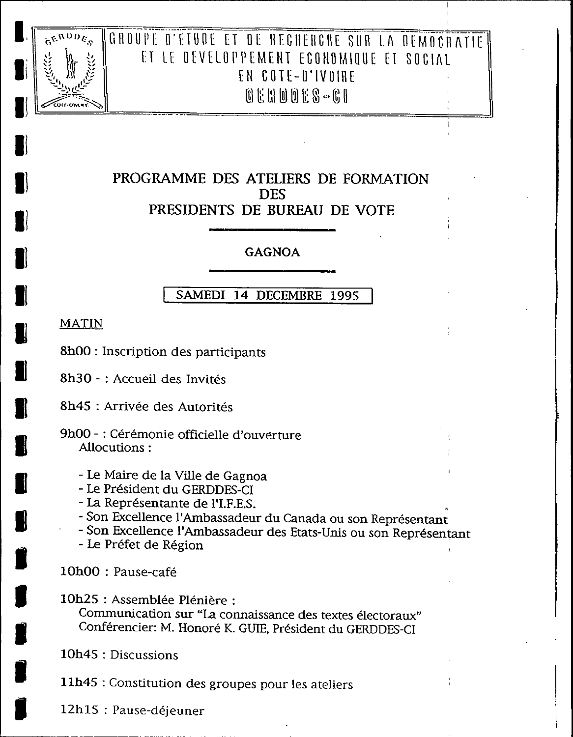

**II** 

 $\blacksquare$ 

**III** 

**11** 

**II** 

II

II

**II** 

II

**g** 

I

I

I

I

I

**•**<br>•

# $\epsilon^{\mathbf{x} \mathbf{b} \mathbf{b} \mathbf{c}^{\mathbf{x}}}_{\mathbf{s}}$  ||GROUPE B'ETUDE ET DE RECHERCHE SUR LA DEMOCRATIE ET LE DEVELOPPEMENT ECONOMIQUE ET SOCIAL EN COTE-O'IVOlnE 0 E H 0 0 E S ~ 6 1

# PROGRAMME DES ATELIERS DE FORMATION DES PRESIDENTS DE BUREAU DE VOTE

## GAGNOA

# SAMEDI 14 DECEMBRE 1995

MATIN

- 8hOO : Inscription des participants
- 8h30 : Accueil des Invités
- 8h45 : Arrivée des Autorités
- 9h00 : Cérémonie officielle d'ouverture Allocutions:
	- Le Maire de la Ville de Gagnoa
	- Le Président du GERDDES-CI<br>- La Représentante de l'I.F.E.S.
	-
	- Le Maire de la Ville de Gagnoa<br>- Le Président du GERDDES-CI<br>- La Représentante de l'I.F.E.S.<br>- Son Excellence l'Ambassadeur du Canada ou son Représentant
	- Son Excellence l'Ambassadeur des Etats-Unis ou son Representant Le Prefet de Region
	-
- 10hOO : Pause-cafe
- 10h25 : Assemblée Plénière :
	- Communication sur "La connaissance des textes electoraux" Conférencier: M. Honoré K. GUIE, Président du GERDDES-CI
- 10h45 : Discussions
- Ilh45 : Constitution des groupes pour les ateliers
- 12h15 : Pause-dejeuner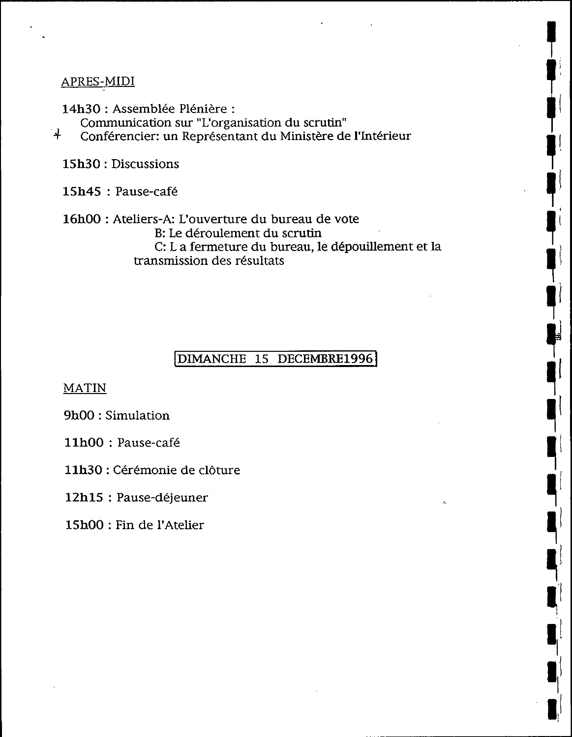#### APRES-MIDI

14h30 : Assemblée Plénière : Communication sur "L'organisation du scrutin"  $\downarrow$ Conférencier: un Représentant du Ministère de l'Intérieur

15h30 : Discussions

15h45 : Pause-cafe

16hOO : Ateliers-A: L'ouverture du bureau de vote B: Le deroulement du scrutin C: L a fermeture du bureau, Ie depouillement et la transmission des resultats

## DIMANCHE 15 DECEMBRE1996

MATIN

9hOO : Simulation

IlhOO : Pause-cafe

11h30 : Cérémonie de clôture

12h15 : Pause-dejeuner

15hOO : Fin de I'Atelier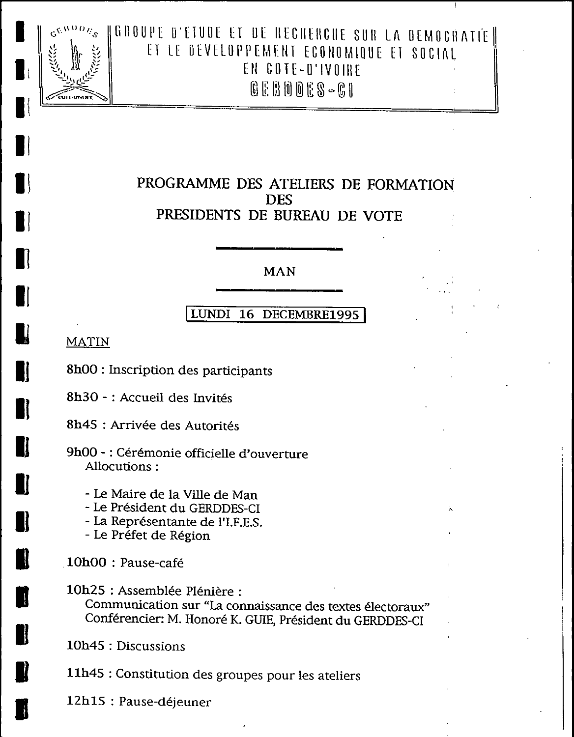

# HGROUPE O'ETUDE ET DE RECHERCHE SUR LA DEMOCRATIE ET LE DEVELOPPEMENT ECONOMIQUE ET SOCIAL EN COTE-D'IVOIRE 6 6 6 0 0 6 6 8 - 6 1

# PROGRAMME DES ATELIERS DE FORMATION **DES** PRESIDENTS DE BUREAU DE VOTE

## **MAN**

## LUNDI 16 DECEMBRE1995

**MATIN** 

- 8h00 : Inscription des participants
- 8h30 : Accueil des Invités
- 8h45 : Arrivée des Autorités
- 9h00 : Cérémonie officielle d'ouverture Allocutions:
	- Le Maire de la Ville de Man
	- Le Président du GERDDES-CI
	- La Représentante de l'I.F.E.S.
	- Le Préfet de Région
- $10h00$ : Pause-café
- 10h25 : Assemblée Plénière : Communication sur "La connaissance des textes électoraux" Conférencier: M. Honoré K. GUIE, Président du GERDDES-CI
- 10h45 : Discussions
- 11h45 : Constitution des groupes pour les ateliers
- 12h15 : Pause-déjeuner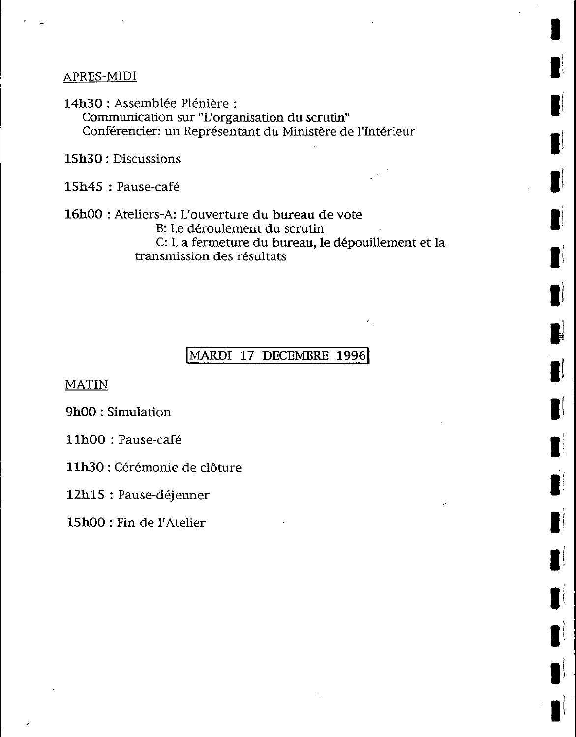APRES-MIDI

14h30 : Assemblée Plénière : Communication sur "L'organisation du scrutin" Conférencier: un Représentant du Ministère de l'Intérieur I

**I(** 

**II** 

 $\blacksquare$ 

**I(** 

**II** 

**Ii** 

**II** 

**t** 

**II** 

**II** 

**I'** 

**Ii** 

**II** 

**Ii** 

**II** 

 $\blacksquare$ 

 $\blacksquare$ 

**II** 

ISh30 : Discussions

ISh4S : Pause-cafe

16hOO : Ateliers-A: L'ouverture du bureau de vote B: Le deroulement du scrutin C: L a fermeture du bureau, Ie depouillement et la transmission des resultats

### MARDI 17 DECEMBRE 1996

MATIN

9hOO : Simulation

IlhOO : Pause-cafe

11h30 : Cérémonie de clôture

lZhlS : Pause-dejeuner

IShOO : Fin de l'Atelier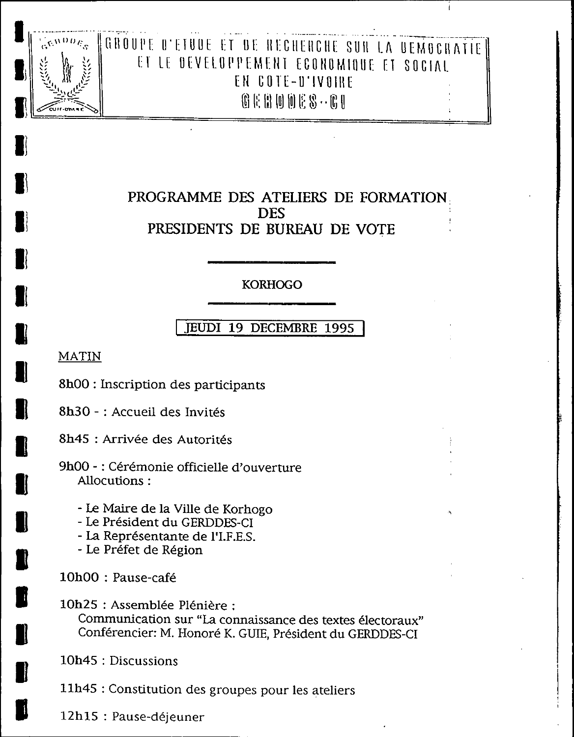

# PROGRAMME DES ATELIERS DE FORMATION DES PRESIDENTS DE BUREAU DE VOTE

### KORHOGO

## JEUDI 19 DECEMBRE 1995

MATIN

**Il** 

 $\blacksquare$ 

 $\blacksquare$ 

**II** 

**II** 

I

II

I

**in** 

**II** 

I

I

I

I

II

II

8hOO : Inscription des participants

8h30 - : Accueil des Invités

8h45 : Arrivée des Autorités

9h00 - : Cérémonie officielle d'ouverture Allocutions:

- Le Maire de la Ville de Korhogo

- Le President du GERDDES-CI

- La Représentante de l'I.F.E.S.

- Le Prefet de Region

10hOO : Pause-cafe

10h25 : Assemblée Plénière : Communication sur "La connaissance des textes eIectoraux" Conférencier: M. Honoré K. GUIE, Président du GERDDES-CI

lOh45 : Discussions

llh45 : Constitution des groupes pour les ateliers

12h15 : Pause-dejeuner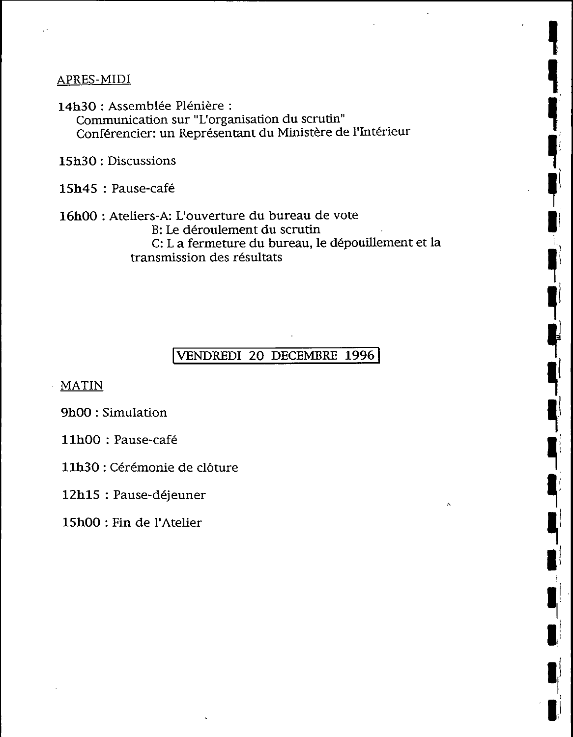APRES-MIDI

14h30 : Assemblée Plénière : Communication sur "L'organisation du scrutin" Conférencier: un Représentant du Ministère de l'Intérieur

15h30 : Discussions

15h45 : Pause-cafe

16hOO : Ateliers-A: L'ouverture du bureau de vote B: Le deroulement du scrutin C: L a fermeture du bureau, Ie depouillement et Ia transmission des résultats

### VENDREDI 20 DECEMBRE 1996

. MATIN

9hOO : Simulation

11hOO : Pause-cafe

11h30 : Cérémonie de clôture

12h15 : Pause-dejeuner

15hOO : Fin de l'Atelier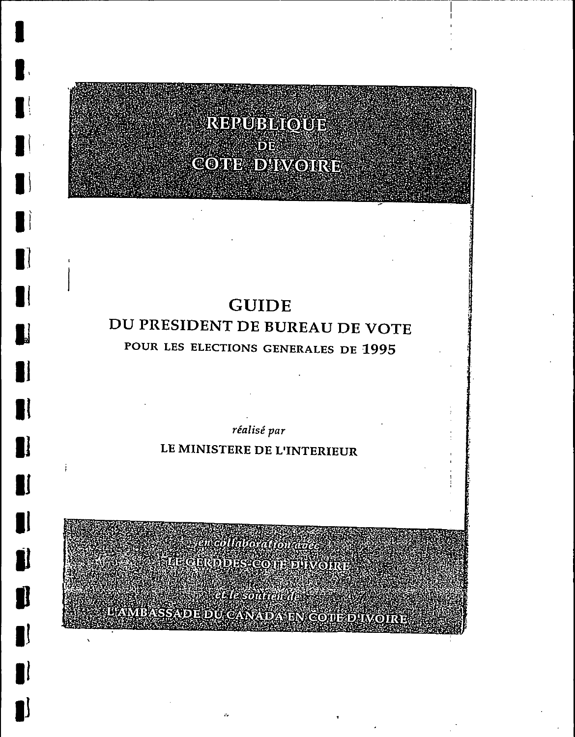# <u>КЕРЕВИОСЕ</u> **ARKDE CONE DIVOIRE**

 $\mathbb{R}^l$ 

 $\textcolor{red}{\blacksquare}$ 

 $\blacksquare$ 

 $\blacksquare$ 

 $\blacksquare$ 

 $\blacksquare$ 

1

 $\blacksquare$ 

 $\blacksquare$ 

 $\blacksquare$ 

I

 $\mathbf{I}$ 

 $\blacksquare$ 

j

# **GUIDE** DU PRESIDENT DE BUREAU DE VOTE POUR LES ELECTIONS GENERALES DE 1995

réalisé par LE MINISTERE DE L'INTERIEUR

ANG MARKATANG PANG **Samsos tempo de la propieta** 

**SALESOMIQUE A SERVICIONES** LAWI LASSAD E DUCCAN DAN ANCOUR DI MOITA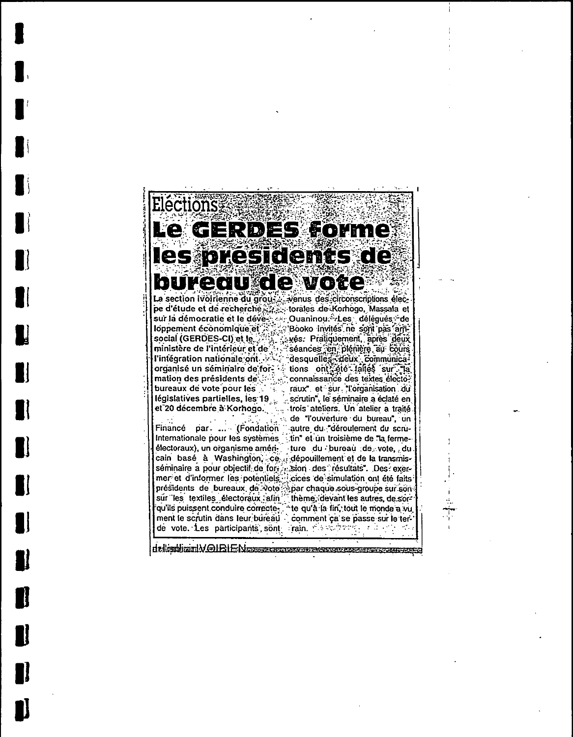# Eléctions **Le GERDES forme** les présidents de bureau de vote La section Ivolitenne du grous » venus des circonscriptions elec-

pe d'étude et de recherche el, corales de Komogo, Massala et pe d'étude et de récriterienne de la Cuantinour de la constitue de la constitue de la constitue de la constitue de la constitue de la constitue de la constitue de la constitue de la constitue de la constitue de la constitu et 20 décembre à Kornogo.

Financé par ... (Fondation Internationale pour les systèmes électoraux), un organisme américain basé à Washington, ce dépouillement et de la transmisséminaire a pour objectif de former et d'informer les potentiels. présidents de bureaux de vote sur les textiles électoraux afin qu'ils puissent conduire correctement le scrutin dans leur bureau de vote. Les participants sont

législatives partielles, les 19 et entin<sup>e</sup>, le séminaire a éclaté en trois ateliers. Un atelier a traité state "l'ouverture du bureau", un autre du "déroulement du scrutin" et un troisième de "la fermeture du bureau de vote, du sion des résultats". Des exercices de simulation ont été faits<sup>:</sup> par chaque sous-groupe sur son thème, devant les autres, de sorte qu'à la fin, tout le monde a vu comment ca se passe sur le ter-' (**rain** )ទ≺ជាទីការ រដ

deliablicantWQLBIEN<del>.co.processory/orangesters.com</del>p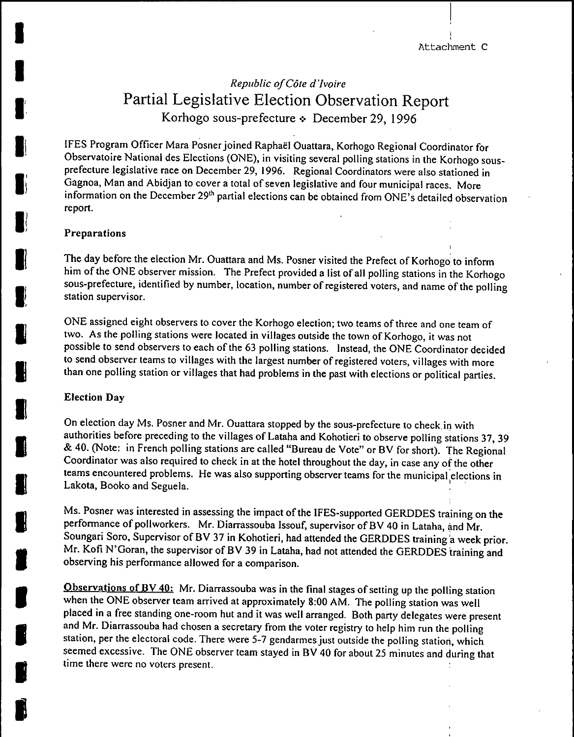# *Republic a/Cote d'/voire*  Partial Legislative Election Observation Report Korhogo sous-prefecture . December 29, 1996

IFES Program Officer Mara Posner joined Raphael Ouattara, Korhogo Regional Coordinator for Observatoire National des Elections (ONE), in visiting several polling stations in the Korhogo sousprefecture legislative race on December 29, 1996. Regional Coordinators were also stationed in Gagnoa, Man and Abidjan to cover a total of seven legislative and four municipal races. More information on the December 29<sup>th</sup> partial elections can be obtained from ONE's detailed observation report.

#### Preparations

I

I

 $\blacksquare$ 

**II** 

**I;** 

**II** 

I

 $\bullet$  .

I

I

I

I

I

I

I

I

I

I

•<br>•<br>•

The day before the election Mr. Ouattara and Ms. Posner visited the Prefect of Korhogo to inform him of the ONE observer mission. The Prefect provided a list of all polling stations in the Korhogo sous-prefecture, identified by number, location, number of registered voters, and name of the polling station supervisor.

ONE assigned eight observers to cover the Korhogo election; two teams of three and one team of two. As the polling stations were located in villages outside the town of Korhogo, it was not possible to send observers to each of the 63 polling stations. Instead, the ONE Coordinator decided to send observer teams to villages with the largest number of registered voters, villages with more than one polling station or villages that had problems in the past with elections or political parties.

#### Election Day

On election day Ms. Posner and Mr. Ouattara stopped by the sous-prefecture to check. in with authorities before preceding to the villages of Lataha and Kohotieri to observe polling stations 37, 39 & 40. (Note: in French polling stations are called "Bureau de Vote" or BV for short). The Regional Coordinator was also required to check in at the hotel throughout the day, in case any of the other teams encountered problems. He was also supporting observer teams for the municipal elections in Lakota, Booko and Seguela.

Ms. Posner was interested in assessing the impact of the IFES-supported GERDDES training on the performance of pollworkers. Mr. Diarrassouba Issouf, supervisor of BV 40 in Lataha, and Mr. Soungari Soro, Supervisor of BV 37 in Kohotieri, had attended the GERDDES training a week prior. Mr. Kofi N'Goran, the supervisor of BY 39 in Lataha, had not attended the GERDDES training and observing his performance allowed for a comparison.

Observations of BV 40: Mr. Diarrassouba was in the final stages of setting up the polling station when the ONE observer team arrived at approximately 8:00 AM. The polling station was well placed in a free standing one-room hut and it was well arranged. Both party delegates were present and Mr. Diarrassouba had chosen a secretary from the voter registry to help him run the polling station, per the electoral code. There were 5-7 gendarmes just outside the polling station, which seemed excessive. The ONE observer team stayed in BV 40 for about 25 minutes and during that time there were no voters present.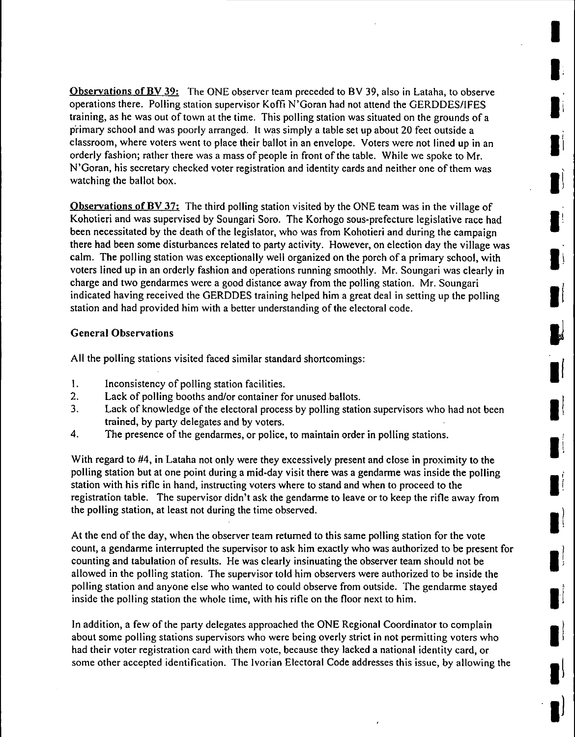Observations of BV 39: The ONE observer team preceded to BV 39, also in Lataha, to observe operations there. Polling station supervisor Koffi N'Goran had not attend the GERDDESIIFES training, as he was out of town at the time. This polling station was situated on the grounds ofa primary school and was poorly arranged. It was simply a table set up about 20 feet outside a classroom, where voters went to place their ballot in an envelope. Yoters were not lined up in an orderly fashion; rather there was a mass of people in front of the table. While we spoke to Mr. N'Goran, his secretary checked voter registration and identity cards and neither one of them was watching the ballot box.

I

**I·** 

**Ii** 

1'1

 $\blacksquare$ 

**I!** 

 $\blacksquare$ 

**II** 

aJ

 $\blacksquare$ 

**II** 

**I(** 

**If** 

 $\blacksquare$ 

 $\blacksquare$ 

**11** 

 $\blacksquare$ 

 $\mathbf{I}$ 

**IJ** 

Observations of BY 37: The third polling station visited by the ONE team was in the village of Kohotieri and was supervised by Soungari Soro. The Korhogo sous-prefecture legislative race had been necessitated by the death of the legislator, who was from Kohotieri and during the campaign there had been some disturbances related to party activity. However, on election day the village was calm. The polling station was exceptionally well organized on the porch of a primary school, with voters lined up in an orderly fashion and operations running smoothly. Mr. Soungari was clearly in charge and two gendarmes were a good distance away from the polling station. Mr. Soungari indicated having received the GERDDES training helped him a great deal in setting up the polling station and had provided him with a better understanding of the electoral code.

#### General Observations

All the polling stations visited faced similar standard shortcomings:

- I. Inconsistency of polling station facilities.
- 2. Lack of polling booths and/or container for unused ballots.
- 3. Lack of knowledge of the electoral process by polling station supervisors who had not been trained, by party delegates and by voters.
- 4. The presence of the gendarmes, or police, to maintain order in polling stations.

With regard to #4, in Lataha not only were they excessively present and close in proximity to the polling station but at one point during a mid-day visit there was a gendarme was inside the polling station with his rifle in hand, instructing voters where to stand and when to proceed to the registration table. The supervisor didn't ask the gendarme to leave or to keep the rifle away from the polling station, at least not during the time observed.

At the end of the day, when the observer team returned to this same polling station for the vote count, a gendarme interrupted the supervisor to ask him exactly who was authorized to be present for counting and tabulation of results. He was clearly insinuating the observer team should not be allowed in the polling station. The supervisor told him observers were authorized to be inside the polling station and anyone else who wanted to could observe from outside. The gendarme stayed inside the polling station the whole time, with his rifle on the floor next to him.

In addition, a few of the party delegates approached the ONE Regional Coordinator to complain about some polling stations supervisors who were being overly strict in not permitting voters who had their voter registration card with them vote, because they lacked a national identity card, or some other accepted identification. The lvorian Electoral Code addresses this issue, by allowing the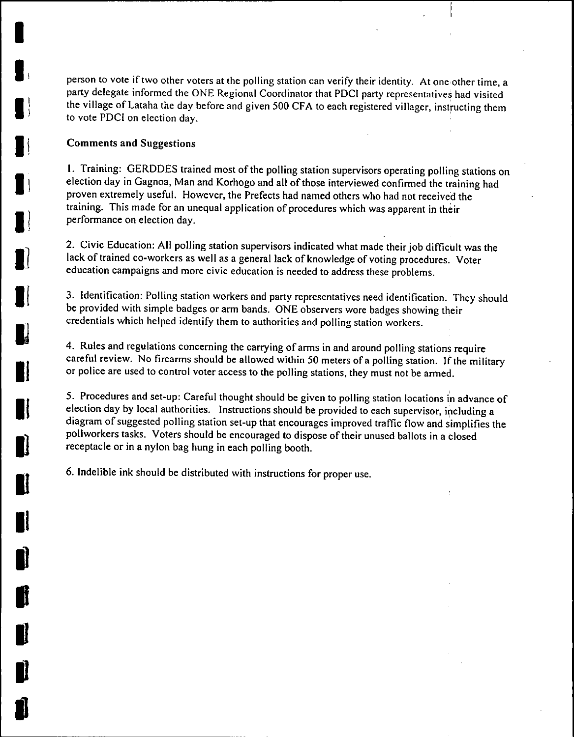person to vote if two other voters at the polling station can verify their identity. At one other time, a party delegate informed the ONE Regional Coordinator that POCI party representatives had visited the village of Lataha the day before and given 500 CFA to each registered villager, instructing them to vote POCI on election day.

#### Comments and Suggestions

**I:** 

**II** 

**II** 

**II** 

**11** 

**II** 

**U** 

**IJ** 

**II** 

 $\blacksquare$ 

**III** 

**II** 

 $\blacksquare$ 

I

II

 $\blacksquare$ 

II

I. Training: GEROOES trained most of the polling station supervisors operating polling stations on election day in Gagnoa, Man and Korhogo and all of those interviewed confirmed the training had proven extremely useful. However, the Prefects had named others who had not received the training. This made for an unequal application of procedures which was apparent in their performance on election day.

2. Civic Education: All polling station supervisors indicated what made their job difficult was the lack of trained co-workers as well as a general lack of knowledge of voting procedures. Voter education campaigns and more civic education is needed to address these problems.

3. Identification: Polling station workers and party representatives need identification. They should be provided with simple badges or arm bands. ONE observers wore badges showing their credentials which helped identify them to authorities and polling station workers.

4. Rules and regulations concerning the carrying of arms in and around polling stations require careful review. No firearms should be allowed within 50 meters of a polling station. If the military or police are used to control voter access to the polling stations, they must not be armed.

5. Procedures and set-up: Careful thought should be given to polling station locations in advance of election day by local authorities. Instructions should be provided to each supervisor, including a diagram of suggested polling station set-up that encourages improved traffic flow and simplifies the pollworkers tasks. Voters should be encouraged to dispose of their unused ballots in a closed receptacle or in a nylon bag hung in each polling booth.

6. Indelible ink should be distributed with instructions for proper use.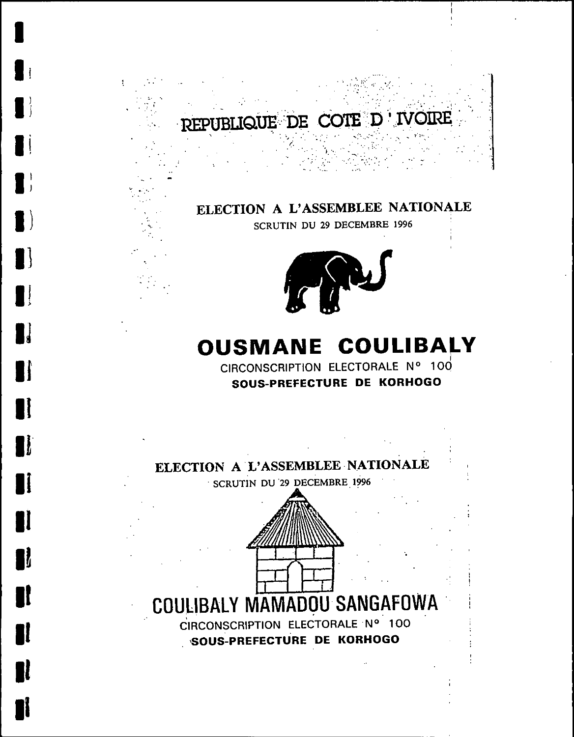# REPUBLIQUE DE COTE D'IVOIRE

# ELECTION A L'ASSEMBLEE NATIONALE

SCRUTIN DU 29 DECEMBRE 1996



# **OUSMANE COULIBALY**

CIRCONSCRIPTION ELECTORALE Nº 100 SOUS-PREFECTURE DE KORHOGO

ELECTION A L'ASSEMBLEE NATIONALE

1

l

 $\mathcal{L}$ 

SCRUTIN DU 29 DECEMBRE 1996



# COULIBALY MAMADOU SANGAFOWA CIRCONSCRIPTION ELECTORALE Nº 100

SOUS-PREFECTURE DE KORHOGO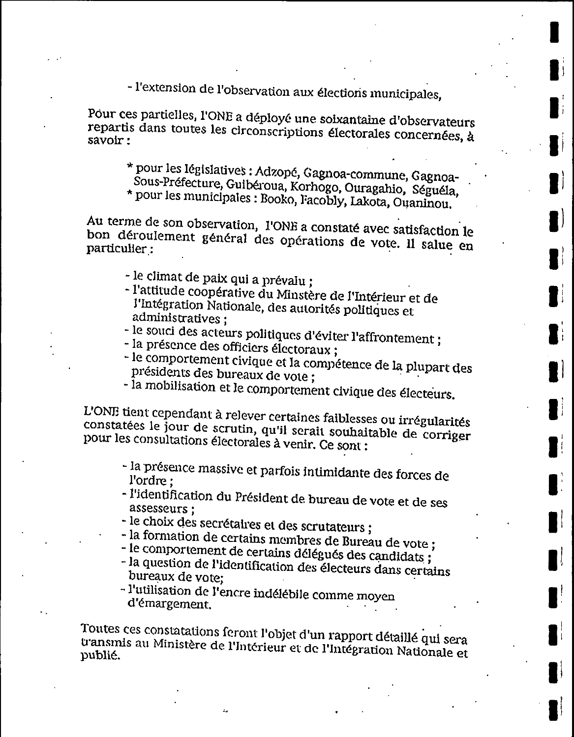- I'extension de l'observation aux elections municipales,

I

 $\blacksquare$ 

I:

Ii

**III** 

I)

Ii

Ii

I:

II

 $\blacksquare$ 

I!

It

**III** 

**III** 

Pour ces partielles, l'ONE a déployé une soixantaine d'observateurs repartis dans toutes les clrconscriptions electorales concernees, a savoir :

\* pour les leglslatives : Adzopc, Gaguoa-commune, Gagnoa-\* pour les municipales : Booko, Facobly, Lakota, Ouaninou.

Au terme de son observation, l'ONE a constaté avec satisfaction le bon déroulement général des opérations de vote. Il salue en particulier :

- le climat de paix qui a prévalu ;
- -l'attitude cooperative du Minstere de J'Interieur et de J'Intégration Nationale, des autorités politiques et administratives ;
- le souci des acteurs politiques d'éviter l'affrontement ;<br>- la présence des officiers électoraux ;
- 
- le comportement civique et la compétence de la plupart des présidents des bureaux de vote ;
- la mobilisation et le comportement civique des électeurs.

*VONE* tient cependant a reJever certaines faiblesses OU irregularltes constatees Ie jour de scrutin, qu'il serait souhaitable de corriger pour les consultations électorales à venir. Ce sont :

- -la presence massive et parfois lntimidante des forces de l'ordre ;
- l'identification du Président de bureau de vote et de ses assesseurs ;
- 
- le choix des secrétaires et des scrutateurs ;<br>- la formation de certains membres de Bureau de vote ;
- le comportement de certains délégués des candidats ;
- la question de l'identification des électeurs dans certains burea.ux de vote; .

- l'utilisation de J'encre indélébile comme moyen<br>d'émargement.

Toutes ces constatations feront l'objet d'un rapport détaillé qui sera transmis au Ministère de l'Intérieur et de l'Intégration Nationale et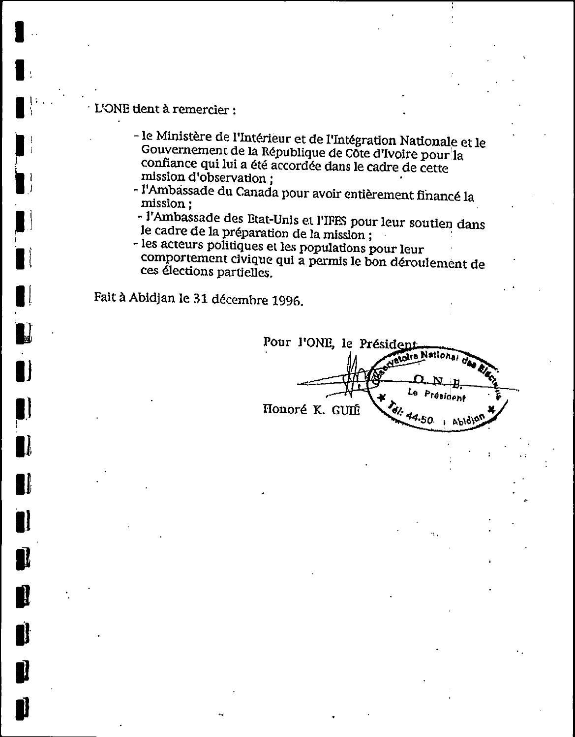# L'ONE tient à remercier :

- le Ministère de l'Intérieur et de l'Intégration Nationale et le Gouvernement de la République de Côte d'Ivoire pour la confiance qui lui a été accordée dans le cadre de cette mission d'observation ;
- l'Ambassade du Canada pour avoir entièrement financé la mission :
- l'Ambassade des Etat-Unis et l'IFES pour leur soutien dans le cadre de la préparation de la mission ;
- les acteurs politiques et les populations pour leur comportement civique qui a permis le bon déroulement de ces élections partielles.

Fait à Abidjan le 31 décembre 1996.

| Pour l'ONE, le Président |
|--------------------------|
| Matches National de      |
|                          |
| Le Président             |
| Honoré K. GUIÉ<br>44.5   |
| Abidian                  |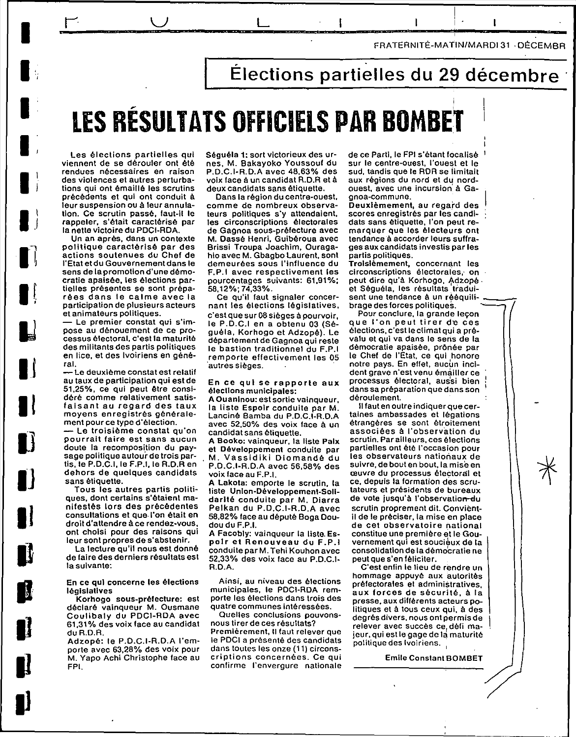FRATERNITÉ-MATIN/MARDI31 · DÉCEMBR

# Élections partielles du 29 décembre :

**LES RÉSULTATS OFFICIELS PAR BOMBET** 

Les élections partielles qui viennent de se dérouler ont été rendues nécessaires en raison des violences et autres perturbations qui ont émaillé les scrutins précédents et qui ont conduit à leur suspension ou à leur annulation. Ce scrutin passé, faut-il le rappeler, s'était caractérisé par la nette victoire du PDCI-RDA.

Un an après, dans un contexte politique caracterisé par des actions soutenues du Chef de l'Etat et du Gouvernement dans le sens de la promotion d'une democratie apaisée, les élections partielles presentes se sont préparées dans le calme avec la participation de plusieurs acteurs et animateurs politiques.

- Le premier constat qui s'impose au dénouement de ce processus électoral, c'est la maturité des militants des partis politiques en lice, et des Ivoiriens en général.

-- Le deuxieme constat est relatif au taux de participation qui est de 51,25%, ce qui peut être considéré comme relativement satisfaisant au regard des taux moyens enregistres généralement pour ce type d'élection.

- Le troisième constat qu'on pourrait faire est sans aucun doute la recomposition du paysage politique autour de trois partis, le P.D.C.I, le F.P.I, le R.D.R en dehors de quelques candidats sans étiquette.

Tous les autres partis politiques, dont certains s'étaient manifestes lors des précédentes consultations et que l'on était en droit d'attendre à ce rendez-vous, ont choisi pour des raisons qui leur sont propres de s'abstenir.

La lecture qu'il nous est donné de faire des derniers résultats est la suivante:

En ce qui concerne les élections législatives

Korhogo sous-préfecture: est déclaré vainqueur M. Ousmane Coulibaly du PDCI-RDA avec 61,31% des voix face au candidat du R.D.R.

Adzopé: le P.D.C.I-R.D.A l'emporte avec 63,28% des voix pour M. Yapo Achi Christophe face au FPI.

Séguéla 1: sort victorieux des urnes, M. Bakayoko Youssouf du P.D.C.I-R.D.A avec 48,63% des voix face a un candidat R.D.R et à deux candidats sans étiquette.

Dans la région du centre-ouest, comme de nombreux observateurs politiques s'y attendaient, les circonscriptions electorales de Gagnoa sous-préfecture avec M. Dassé Henri, Guiberoua avec Brissi Troupa Joachim, Ouragahio avec M. Gbagbo Laurent, sont demeurées sous l'influence du F.P.I avec respectivement les pourcentages suivants: 61,91%; 58.12%; 74,33%.

Ce qu'il faut signaler concernant les élections législatives. c'est que sur 08 sièges à pourvoir, le P.D.C.I en a obtenu 03 (Séguéla, Korhogo et Adzopé). Le département de Gagnoa qui reste le bastion traditionnel du F.P.I remporte effectivement les 05 autres sièges.

En ce qui se rapporte aux élections municipales:

A Ouaninou: est sortie vainqueur, la liste Espoir conduite par M. Lanciné Bamba du P.D.C.I-R.D.A avec 52,50% des voix face à un candidat sans étiquette.

A Booko: vainqueur, la liste Paix et Développement conduite par M. Vassidiki Diomandé du P.D.C.I-R.D.A avec 56,58% des voix face au F.P.I.

A Lakota: emporte le scrutin, la liste Union-Développement-Solidarité conduite par M. Diarra Pelkan du P.D.C.I-R.D.A avec 58,82% face au député Boga Doudou du F.P.I.

A Facobly: vainqueur la liste Espoir et Renouveau du F.P.I conduite par M. Tehi Kouhon avec 52,33% des voix face au P.D.C.I- $R.D.A.$ 

Ainsi, au niveau des élections municipales, le PDCI-RDA remporte les élections dans trois des quatre communes intéressées.

Quelles conclusions pouvonsnous tirer de ces résultats? Premierement, Il faut relever que le PDCI a présenté des candidats dans toutes les onze (11) circonscriptions concernées. Ce qui confirme l'envergure nationale

de ce Parti, le FPI s'étant focalisé sur le centre-ouest, l'ouest et le sud, tandis que le RDR se limitait aux régions du nord et du nordouest, avec une incursion à Gagnoa-commune.

Deuxlèmement, au regard des scores enregistrés par les candidats sans étiquette, l'on peut remarquer que les électeurs ont tendance à accorder leurs suffrages aux candidats investis par les partis politiques.

Troisiemement, concernant les circonscriptions electorales, on peut dire qu'à Korhogo, Adzopé et Séguéla, les résultats traduisent une tendance à un rééquilibrage des forces politiques.

Pour conclure, la grande leçon que l'on peut tirer de ces élections, c'est le climat qui a prévalu et qui va dans le sens de la democratie apaisée, prônée par le Chef de l'Etat, ce qui honore notre pays. En effet, aucun incident grave n'est venu émailler ce processus electoral, aussi bien dans sa preparation que dans son déroulement.

Il faut en outre indiquer que certaines ambassades et légations étrangères se sont étroitement associées à l'observation du scrutin. Par ailleurs, ces élections partielles ont été l'occasion pour les observateurs nationaux de suivre, de bout en bout, la mise en œuvre du processus électoral et ce, depuis la formation des scrutateurs et présidents de bureaux de vote jusqu'à l'observation-du scrutin proprement dit. Convientil de le préciser, la mise en place de cet observatoire national constitue une première et le Gouvernement qui est soucieux de la consolidation de la démocratie ne peut que s'en féliciter.

C'est enfin le lieu de rendre un hommage appuyé aux autorités préfectorales et administratives. aux forces de sécurité, à la presse, aux différents acteurs politiques et à tous ceux qui, à des degrés divers, nous ont permis de relever avec succes ce, défi majeur, qui est le gage de la maturité politique des Ivoiriens.

**Emile Constant BOMBET**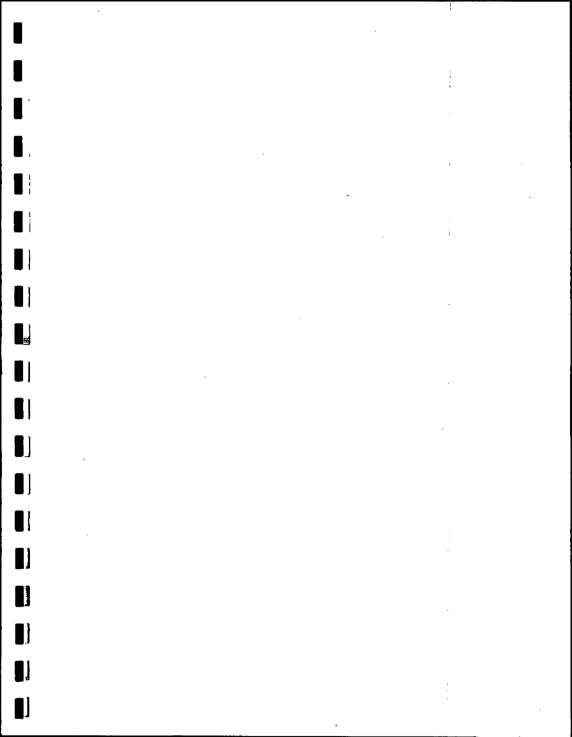$\begin{bmatrix} 1 & 0 \\ 1 & 0 \\ 0 & 0 \end{bmatrix}$  $\hat{\mathbf{r}}$  $\bar{\bar{z}}$ 

Ţ

 $\label{eq:2.1} \mathbf{E} = \mathbf{E} \mathbf{E} \mathbf{E} \mathbf{E}$  $\begin{array}{c} \begin{array}{c} 1 \\ 1 \\ 1 \end{array} \\ \begin{array}{c} 1 \\ 1 \end{array} \\ \begin{array}{c} 1 \\ 1 \end{array} \\ \begin{array}{c} 1 \\ 1 \end{array} \end{array}$ 

 $\frac{1}{2}$ 

 $\sim 10^{-11}$ 

 $\mathcal{L}_{\text{max}}$  and  $\mathcal{L}_{\text{max}}$ 

 $\blacksquare$  $\blacksquare$  $\blacksquare$  $\blacksquare\}$ 

 $\blacksquare$ 

 $\mathbf{I}$ 

 $\blacksquare$ 

 $\mathbf{l}$ 

L

 $\blacksquare$ 

 $\blacksquare$ 

 $\blacksquare$